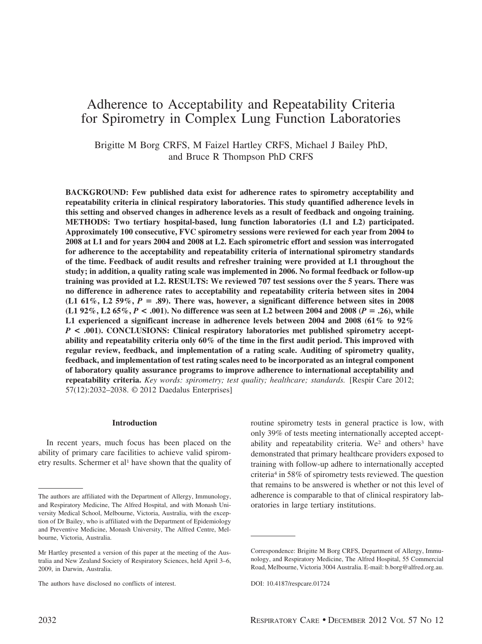# Adherence to Acceptability and Repeatability Criteria for Spirometry in Complex Lung Function Laboratories

Brigitte M Borg CRFS, M Faizel Hartley CRFS, Michael J Bailey PhD, and Bruce R Thompson PhD CRFS

**BACKGROUND: Few published data exist for adherence rates to spirometry acceptability and repeatability criteria in clinical respiratory laboratories. This study quantified adherence levels in this setting and observed changes in adherence levels as a result of feedback and ongoing training. METHODS: Two tertiary hospital-based, lung function laboratories (L1 and L2) participated. Approximately 100 consecutive, FVC spirometry sessions were reviewed for each year from 2004 to 2008 at L1 and for years 2004 and 2008 at L2. Each spirometric effort and session was interrogated for adherence to the acceptability and repeatability criteria of international spirometry standards of the time. Feedback of audit results and refresher training were provided at L1 throughout the study; in addition, a quality rating scale was implemented in 2006. No formal feedback or follow-up training was provided at L2. RESULTS: We reviewed 707 test sessions over the 5 years. There was no difference in adherence rates to acceptability and repeatability criteria between sites in 2004**  $(L1\ 61\%, L2\ 59\%, P = .89)$ . There was, however, a significant difference between sites in 2008 **(L1 92%, L2 65%,** *P* **< .001). No difference was seen at L2 between 2004 and 2008 (***P* **.26), while L1 experienced a significant increase in adherence levels between 2004 and 2008 (61% to 92%** *P* **< .001). CONCLUSIONS: Clinical respiratory laboratories met published spirometry acceptability and repeatability criteria only 60% of the time in the first audit period. This improved with regular review, feedback, and implementation of a rating scale. Auditing of spirometry quality, feedback, and implementation of test rating scales need to be incorporated as an integral component of laboratory quality assurance programs to improve adherence to international acceptability and repeatability criteria.** *Key words: spirometry; test quality; healthcare; standards.* [Respir Care 2012; 57(12):2032–2038. © 2012 Daedalus Enterprises]

## **Introduction**

In recent years, much focus has been placed on the ability of primary care facilities to achieve valid spirometry results. Schermer et al<sup>1</sup> have shown that the quality of routine spirometry tests in general practice is low, with only 39% of tests meeting internationally accepted acceptability and repeatability criteria. We<sup>2</sup> and others<sup>3</sup> have demonstrated that primary healthcare providers exposed to training with follow-up adhere to internationally accepted criteria4 in 58% of spirometry tests reviewed. The question that remains to be answered is whether or not this level of adherence is comparable to that of clinical respiratory laboratories in large tertiary institutions.

The authors are affiliated with the Department of Allergy, Immunology, and Respiratory Medicine, The Alfred Hospital, and with Monash University Medical School, Melbourne, Victoria, Australia, with the exception of Dr Bailey, who is affiliated with the Department of Epidemiology and Preventive Medicine, Monash University, The Alfred Centre, Melbourne, Victoria, Australia.

Mr Hartley presented a version of this paper at the meeting of the Australia and New Zealand Society of Respiratory Sciences, held April 3–6, 2009, in Darwin, Australia.

The authors have disclosed no conflicts of interest.

Correspondence: Brigitte M Borg CRFS, Department of Allergy, Immunology, and Respiratory Medicine, The Alfred Hospital, 55 Commercial Road, Melbourne, Victoria 3004 Australia. E-mail: b.borg@alfred.org.au.

DOI: 10.4187/respcare.01724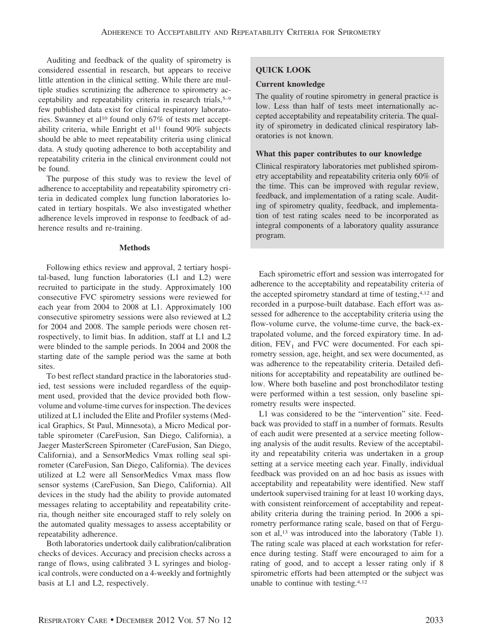Auditing and feedback of the quality of spirometry is considered essential in research, but appears to receive little attention in the clinical setting. While there are multiple studies scrutinizing the adherence to spirometry acceptability and repeatability criteria in research trials,5–9 few published data exist for clinical respiratory laboratories. Swanney et al<sup>10</sup> found only 67% of tests met acceptability criteria, while Enright et al<sup>11</sup> found  $90\%$  subjects should be able to meet repeatability criteria using clinical data. A study quoting adherence to both acceptability and repeatability criteria in the clinical environment could not be found.

The purpose of this study was to review the level of adherence to acceptability and repeatability spirometry criteria in dedicated complex lung function laboratories located in tertiary hospitals. We also investigated whether adherence levels improved in response to feedback of adherence results and re-training.

## **Methods**

Following ethics review and approval, 2 tertiary hospital-based, lung function laboratories (L1 and L2) were recruited to participate in the study. Approximately 100 consecutive FVC spirometry sessions were reviewed for each year from 2004 to 2008 at L1. Approximately 100 consecutive spirometry sessions were also reviewed at L2 for 2004 and 2008. The sample periods were chosen retrospectively, to limit bias. In addition, staff at L1 and L2 were blinded to the sample periods. In 2004 and 2008 the starting date of the sample period was the same at both sites.

To best reflect standard practice in the laboratories studied, test sessions were included regardless of the equipment used, provided that the device provided both flowvolume and volume-time curves for inspection. The devices utilized at L1 included the Elite and Profiler systems (Medical Graphics, St Paul, Minnesota), a Micro Medical portable spirometer (CareFusion, San Diego, California), a Jaeger MasterScreen Spirometer (CareFusion, San Diego, California), and a SensorMedics Vmax rolling seal spirometer (CareFusion, San Diego, California). The devices utilized at L2 were all SensorMedics Vmax mass flow sensor systems (CareFusion, San Diego, California). All devices in the study had the ability to provide automated messages relating to acceptability and repeatability criteria, though neither site encouraged staff to rely solely on the automated quality messages to assess acceptability or repeatability adherence.

Both laboratories undertook daily calibration/calibration checks of devices. Accuracy and precision checks across a range of flows, using calibrated 3 L syringes and biological controls, were conducted on a 4-weekly and fortnightly basis at L1 and L2, respectively.

## **QUICK LOOK**

## **Current knowledge**

The quality of routine spirometry in general practice is low. Less than half of tests meet internationally accepted acceptability and repeatability criteria. The quality of spirometry in dedicated clinical respiratory laboratories is not known.

## **What this paper contributes to our knowledge**

Clinical respiratory laboratories met published spirometry acceptability and repeatability criteria only 60% of the time. This can be improved with regular review, feedback, and implementation of a rating scale. Auditing of spirometry quality, feedback, and implementation of test rating scales need to be incorporated as integral components of a laboratory quality assurance program.

Each spirometric effort and session was interrogated for adherence to the acceptability and repeatability criteria of the accepted spirometry standard at time of testing,4,12 and recorded in a purpose-built database. Each effort was assessed for adherence to the acceptability criteria using the flow-volume curve, the volume-time curve, the back-extrapolated volume, and the forced expiratory time. In addition,  $FEV<sub>1</sub>$  and  $FVC$  were documented. For each spirometry session, age, height, and sex were documented, as was adherence to the repeatability criteria. Detailed definitions for acceptability and repeatability are outlined below. Where both baseline and post bronchodilator testing were performed within a test session, only baseline spirometry results were inspected.

L1 was considered to be the "intervention" site. Feedback was provided to staff in a number of formats. Results of each audit were presented at a service meeting following analysis of the audit results. Review of the acceptability and repeatability criteria was undertaken in a group setting at a service meeting each year. Finally, individual feedback was provided on an ad hoc basis as issues with acceptability and repeatability were identified. New staff undertook supervised training for at least 10 working days, with consistent reinforcement of acceptability and repeatability criteria during the training period. In 2006 a spirometry performance rating scale, based on that of Ferguson et al,<sup>13</sup> was introduced into the laboratory (Table 1). The rating scale was placed at each workstation for reference during testing. Staff were encouraged to aim for a rating of good, and to accept a lesser rating only if 8 spirometric efforts had been attempted or the subject was unable to continue with testing.4,12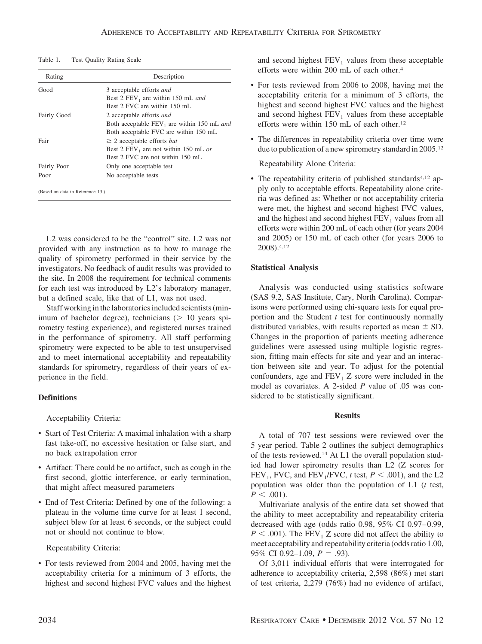| Table 1.<br>Test Quality Rating Scale |
|---------------------------------------|
|---------------------------------------|

| Rating                           | Description                                      |  |  |  |
|----------------------------------|--------------------------------------------------|--|--|--|
| Good                             | 3 acceptable efforts and                         |  |  |  |
|                                  | Best 2 $FEV_1$ are within 150 mL and             |  |  |  |
|                                  | Best 2 FVC are within 150 mL                     |  |  |  |
| Fairly Good                      | 2 acceptable efforts and                         |  |  |  |
|                                  | Both acceptable FEV, are within 150 mL and       |  |  |  |
|                                  | Both acceptable FVC are within 150 mL            |  |  |  |
| Fair                             | $\geq$ 2 acceptable efforts <i>but</i>           |  |  |  |
|                                  | Best 2 FEV <sub>1</sub> are not within 150 mL or |  |  |  |
|                                  | Best 2 FVC are not within 150 mL                 |  |  |  |
| Fairly Poor                      | Only one acceptable test                         |  |  |  |
| Poor                             | No acceptable tests                              |  |  |  |
|                                  |                                                  |  |  |  |
| (Based on data in Reference 13.) |                                                  |  |  |  |

L2 was considered to be the "control" site. L2 was not provided with any instruction as to how to manage the quality of spirometry performed in their service by the investigators. No feedback of audit results was provided to the site. In 2008 the requirement for technical comments for each test was introduced by L2's laboratory manager, but a defined scale, like that of L1, was not used.

Staff working in the laboratories included scientists (minimum of bachelor degree), technicians  $($   $> 10$  years spirometry testing experience), and registered nurses trained in the performance of spirometry. All staff performing spirometry were expected to be able to test unsupervised and to meet international acceptability and repeatability standards for spirometry, regardless of their years of experience in the field.

## **Definitions**

Acceptability Criteria:

- Start of Test Criteria: A maximal inhalation with a sharp fast take-off, no excessive hesitation or false start, and no back extrapolation error
- Artifact: There could be no artifact, such as cough in the first second, glottic interference, or early termination, that might affect measured parameters
- End of Test Criteria: Defined by one of the following: a plateau in the volume time curve for at least 1 second, subject blew for at least 6 seconds, or the subject could not or should not continue to blow.

Repeatability Criteria:

• For tests reviewed from 2004 and 2005, having met the acceptability criteria for a minimum of 3 efforts, the highest and second highest FVC values and the highest and second highest  $FEV<sub>1</sub>$  values from these acceptable efforts were within 200 mL of each other.4

- For tests reviewed from 2006 to 2008, having met the acceptability criteria for a minimum of 3 efforts, the highest and second highest FVC values and the highest and second highest  $FEV<sub>1</sub>$  values from these acceptable efforts were within 150 mL of each other.<sup>12</sup>
- The differences in repeatability criteria over time were due to publication of a new spirometry standard in 2005.12

## Repeatability Alone Criteria:

• The repeatability criteria of published standards<sup>4,12</sup> apply only to acceptable efforts. Repeatability alone criteria was defined as: Whether or not acceptability criteria were met, the highest and second highest FVC values, and the highest and second highest  $FEV<sub>1</sub>$  values from all efforts were within 200 mL of each other (for years 2004 and 2005) or 150 mL of each other (for years 2006 to 2008).4,12

## **Statistical Analysis**

Analysis was conducted using statistics software (SAS 9.2, SAS Institute, Cary, North Carolina). Comparisons were performed using chi-square tests for equal proportion and the Student *t* test for continuously normally distributed variables, with results reported as mean  $\pm$  SD. Changes in the proportion of patients meeting adherence guidelines were assessed using multiple logistic regression, fitting main effects for site and year and an interaction between site and year. To adjust for the potential confounders, age and  $FEV<sub>1</sub> Z$  score were included in the model as covariates. A 2-sided *P* value of .05 was considered to be statistically significant.

#### **Results**

A total of 707 test sessions were reviewed over the 5 year period. Table 2 outlines the subject demographics of the tests reviewed.14 At L1 the overall population studied had lower spirometry results than L2 (Z scores for FEV<sub>1</sub>, FVC, and FEV<sub>1</sub>/FVC, *t* test,  $P < .001$ ), and the L2 population was older than the population of L1 (*t* test,  $P < .001$ ).

Multivariate analysis of the entire data set showed that the ability to meet acceptability and repeatability criteria decreased with age (odds ratio  $0.98$ ,  $95\%$  CI  $0.97-0.99$ ,  $P \leq .001$ ). The FEV<sub>1</sub> Z score did not affect the ability to meet acceptability and repeatability criteria (odds ratio 1.00, 95% CI 0.92–1.09,  $P = .93$ ).

Of 3,011 individual efforts that were interrogated for adherence to acceptability criteria, 2,598 (86%) met start of test criteria, 2,279 (76%) had no evidence of artifact,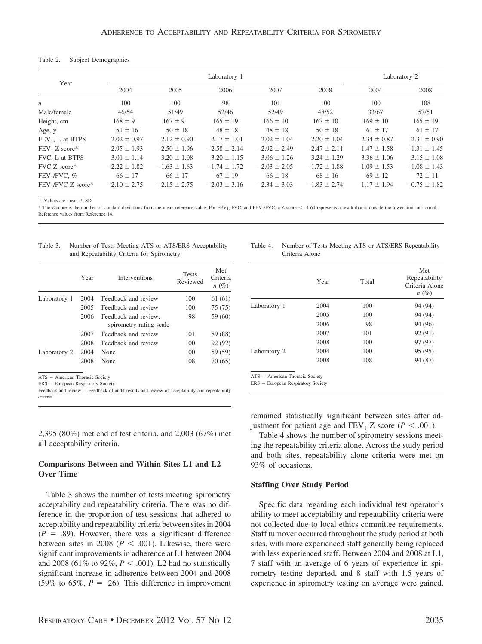#### Table 2. Subject Demographics

|                                | Laboratory 1     |                  |                  |                  |                  |                  | Laboratory 2     |  |
|--------------------------------|------------------|------------------|------------------|------------------|------------------|------------------|------------------|--|
| Year                           | 2004             | 2005             | 2006             | 2007             | 2008             | 2004             | 2008             |  |
| $\boldsymbol{n}$               | 100              | 100              | 98               | 101              | 100              | 100              | 108              |  |
| Male/female                    | 46/54            | 51/49            | 52/46            | 52/49            | 48/52            | 33/67            | 57/51            |  |
| Height, cm                     | $168 \pm 9$      | $167 \pm 9$      | $165 \pm 19$     | $166 \pm 10$     | $167 \pm 10$     | $169 \pm 10$     | $165 \pm 19$     |  |
| Age, y                         | $51 \pm 16$      | $50 \pm 18$      | $48 \pm 18$      | $48 \pm 18$      | $50 \pm 18$      | $61 \pm 17$      | $61 \pm 17$      |  |
| FEV <sub>1</sub> , L at BTPS   | $2.02 \pm 0.97$  | $2.12 \pm 0.90$  | $2.17 \pm 1.01$  | $2.02 \pm 1.04$  | $2.20 \pm 1.04$  | $2.34 \pm 0.87$  | $2.31 \pm 0.90$  |  |
| $FEV1 Z score*$                | $-2.95 \pm 1.93$ | $-2.50 \pm 1.96$ | $-2.58 \pm 2.14$ | $-2.92 \pm 2.49$ | $-2.47 \pm 2.11$ | $-1.47 \pm 1.58$ | $-1.31 \pm 1.45$ |  |
| FVC. L at BTPS                 | $3.01 \pm 1.14$  | $3.20 \pm 1.08$  | $3.20 \pm 1.15$  | $3.06 \pm 1.26$  | $3.24 \pm 1.29$  | $3.36 \pm 1.06$  | $3.15 \pm 1.08$  |  |
| FVC Z score*                   | $-2.22 \pm 1.82$ | $-1.63 \pm 1.63$ | $-1.74 \pm 1.72$ | $-2.03 \pm 2.05$ | $-1.72 \pm 1.88$ | $-1.09 \pm 1.53$ | $-1.08 \pm 1.43$ |  |
| FEV <sub>1</sub> /FVC, %       | $66 \pm 17$      | $66 \pm 17$      | $67 \pm 19$      | $66 \pm 18$      | $68 \pm 16$      | $69 \pm 12$      | $72 \pm 11$      |  |
| FEV <sub>1</sub> /FVC Z score* | $-2.10 \pm 2.75$ | $-2.15 \pm 2.75$ | $-2.03 \pm 3.16$ | $-2.34 \pm 3.03$ | $-1.83 \pm 2.74$ | $-1.17 \pm 1.94$ | $-0.75 \pm 1.82$ |  |

 $\pm$  Values are mean  $\pm$  SD

\* The Z score is the number of standard deviations from the mean reference value. For FEV<sub>1</sub>, FVC, and FEV<sub>1</sub>/FVC, a Z score < -1.64 represents a result that is outside the lower limit of normal. Reference values from Reference 14.

| Table 3. | Number of Tests Meeting ATS or ATS/ERS Acceptability |
|----------|------------------------------------------------------|
|          | and Repeatability Criteria for Spirometry            |

|              | Year | <b>Interventions</b>                            | <b>Tests</b><br>Reviewed | Met<br>Criteria<br>$n(\%)$ |
|--------------|------|-------------------------------------------------|--------------------------|----------------------------|
| Laboratory 1 | 2004 | Feedback and review                             | 100                      | 61 (61)                    |
|              | 2005 | Feedback and review                             | 100                      | 75 (75)                    |
|              | 2006 | Feedback and review.<br>spirometry rating scale | 98                       | 59 (60)                    |
|              | 2007 | Feedback and review                             | 101                      | 89 (88)                    |
|              | 2008 | Feedback and review                             | 100                      | 92 (92)                    |
| Laboratory 2 | 2004 | None                                            | 100                      | 59 (59)                    |
|              | 2008 | None                                            | 108                      | 70(65)                     |

ATS = American Thoracic Society

ERS European Respiratory Society

Feedback and review = Feedback of audit results and review of acceptability and repeatability criteria

2,395 (80%) met end of test criteria, and 2,003 (67%) met all acceptability criteria.

## **Comparisons Between and Within Sites L1 and L2 Over Time**

Table 3 shows the number of tests meeting spirometry acceptability and repeatability criteria. There was no difference in the proportion of test sessions that adhered to acceptability and repeatability criteria between sites in 2004  $(P = .89)$ . However, there was a significant difference between sites in 2008 ( $P < .001$ ). Likewise, there were significant improvements in adherence at L1 between 2004 and 2008 (61% to 92%,  $P < .001$ ). L2 had no statistically significant increase in adherence between 2004 and 2008 (59% to 65%,  $P = .26$ ). This difference in improvement

| Table 4. | Number of Tests Meeting ATS or ATS/ERS Repeatability |
|----------|------------------------------------------------------|
|          | Criteria Alone                                       |

|              | Year | Total | Met<br>Repeatability<br>Criteria Alone<br>$n(\%)$ |
|--------------|------|-------|---------------------------------------------------|
| Laboratory 1 | 2004 | 100   | 94 (94)                                           |
|              | 2005 | 100   | 94 (94)                                           |
|              | 2006 | 98    | 94 (96)                                           |
|              | 2007 | 101   | 92 (91)                                           |
|              | 2008 | 100   | 97 (97)                                           |
| Laboratory 2 | 2004 | 100   | 95 (95)                                           |
|              | 2008 | 108   | 94 (87)                                           |

remained statistically significant between sites after adjustment for patient age and  $FEV_1 Z$  score ( $P < .001$ ).

Table 4 shows the number of spirometry sessions meeting the repeatability criteria alone. Across the study period and both sites, repeatability alone criteria were met on 93% of occasions.

#### **Staffing Over Study Period**

Specific data regarding each individual test operator's ability to meet acceptability and repeatability criteria were not collected due to local ethics committee requirements. Staff turnover occurred throughout the study period at both sites, with more experienced staff generally being replaced with less experienced staff. Between 2004 and 2008 at L1, 7 staff with an average of 6 years of experience in spirometry testing departed, and 8 staff with 1.5 years of experience in spirometry testing on average were gained.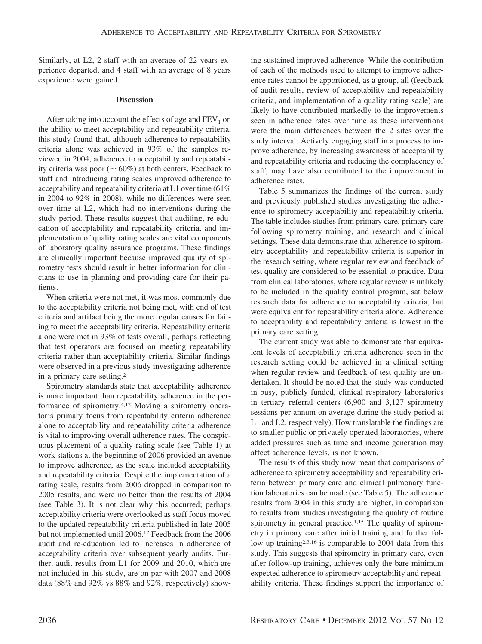Similarly, at L2, 2 staff with an average of 22 years experience departed, and 4 staff with an average of 8 years experience were gained.

## **Discussion**

After taking into account the effects of age and  $FEV<sub>1</sub>$  on the ability to meet acceptability and repeatability criteria, this study found that, although adherence to repeatability criteria alone was achieved in 93% of the samples reviewed in 2004, adherence to acceptability and repeatability criteria was poor ( $\sim 60\%$ ) at both centers. Feedback to staff and introducing rating scales improved adherence to acceptability and repeatability criteria at L1 over time (61% in 2004 to 92% in 2008), while no differences were seen over time at L2, which had no interventions during the study period. These results suggest that auditing, re-education of acceptability and repeatability criteria, and implementation of quality rating scales are vital components of laboratory quality assurance programs. These findings are clinically important because improved quality of spirometry tests should result in better information for clinicians to use in planning and providing care for their patients.

When criteria were not met, it was most commonly due to the acceptability criteria not being met, with end of test criteria and artifact being the more regular causes for failing to meet the acceptability criteria. Repeatability criteria alone were met in 93% of tests overall, perhaps reflecting that test operators are focused on meeting repeatability criteria rather than acceptability criteria. Similar findings were observed in a previous study investigating adherence in a primary care setting.2

Spirometry standards state that acceptability adherence is more important than repeatability adherence in the performance of spirometry.4,12 Moving a spirometry operator's primary focus from repeatability criteria adherence alone to acceptability and repeatability criteria adherence is vital to improving overall adherence rates. The conspicuous placement of a quality rating scale (see Table 1) at work stations at the beginning of 2006 provided an avenue to improve adherence, as the scale included acceptability and repeatability criteria. Despite the implementation of a rating scale, results from 2006 dropped in comparison to 2005 results, and were no better than the results of 2004 (see Table 3). It is not clear why this occurred; perhaps acceptability criteria were overlooked as staff focus moved to the updated repeatability criteria published in late 2005 but not implemented until 2006.12 Feedback from the 2006 audit and re-education led to increases in adherence of acceptability criteria over subsequent yearly audits. Further, audit results from L1 for 2009 and 2010, which are not included in this study, are on par with 2007 and 2008 data (88% and 92% vs 88% and 92%, respectively) showing sustained improved adherence. While the contribution of each of the methods used to attempt to improve adherence rates cannot be apportioned, as a group, all (feedback of audit results, review of acceptability and repeatability criteria, and implementation of a quality rating scale) are likely to have contributed markedly to the improvements seen in adherence rates over time as these interventions were the main differences between the 2 sites over the study interval. Actively engaging staff in a process to improve adherence, by increasing awareness of acceptability and repeatability criteria and reducing the complacency of staff, may have also contributed to the improvement in adherence rates.

Table 5 summarizes the findings of the current study and previously published studies investigating the adherence to spirometry acceptability and repeatability criteria. The table includes studies from primary care, primary care following spirometry training, and research and clinical settings. These data demonstrate that adherence to spirometry acceptability and repeatability criteria is superior in the research setting, where regular review and feedback of test quality are considered to be essential to practice. Data from clinical laboratories, where regular review is unlikely to be included in the quality control program, sat below research data for adherence to acceptability criteria, but were equivalent for repeatability criteria alone. Adherence to acceptability and repeatability criteria is lowest in the primary care setting.

The current study was able to demonstrate that equivalent levels of acceptability criteria adherence seen in the research setting could be achieved in a clinical setting when regular review and feedback of test quality are undertaken. It should be noted that the study was conducted in busy, publicly funded, clinical respiratory laboratories in tertiary referral centers (6,900 and 3,127 spirometry sessions per annum on average during the study period at L1 and L2, respectively). How translatable the findings are to smaller public or privately operated laboratories, where added pressures such as time and income generation may affect adherence levels, is not known.

The results of this study now mean that comparisons of adherence to spirometry acceptability and repeatability criteria between primary care and clinical pulmonary function laboratories can be made (see Table 5). The adherence results from 2004 in this study are higher, in comparison to results from studies investigating the quality of routine spirometry in general practice.<sup>1,15</sup> The quality of spirometry in primary care after initial training and further follow-up training2,3,16 is comparable to 2004 data from this study. This suggests that spirometry in primary care, even after follow-up training, achieves only the bare minimum expected adherence to spirometry acceptability and repeatability criteria. These findings support the importance of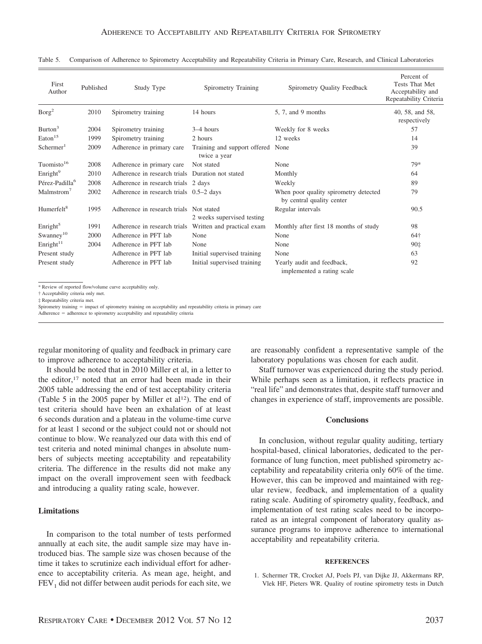| First<br>Author            | Published | Study Type                                       | Spirometry Training                               | Spirometry Quality Feedback                                        | Percent of<br><b>Tests That Met</b><br>Acceptability and<br>Repeatability Criteria |
|----------------------------|-----------|--------------------------------------------------|---------------------------------------------------|--------------------------------------------------------------------|------------------------------------------------------------------------------------|
| Borg <sup>2</sup>          | 2010      | Spirometry training                              | 14 hours                                          | 5, 7, and 9 months                                                 | 40, 58, and 58,<br>respectively                                                    |
| Burton <sup>3</sup>        | 2004      | Spirometry training                              | $3-4$ hours                                       | Weekly for 8 weeks                                                 | 57                                                                                 |
| $\text{Eaton}^{15}$        | 1999      | Spirometry training                              | 2 hours                                           | 12 weeks                                                           | 14                                                                                 |
| Schermer <sup>1</sup>      | 2009      | Adherence in primary care                        | Training and support offered None<br>twice a year |                                                                    | 39                                                                                 |
| Tuomisto $16$              | 2008      | Adherence in primary care                        | Not stated                                        | None                                                               | 79*                                                                                |
| Enright <sup>9</sup>       | 2010      | Adherence in research trials Duration not stated |                                                   | Monthly                                                            | 64                                                                                 |
| Pérez-Padilla <sup>6</sup> | 2008      | Adherence in research trials 2 days              |                                                   | Weekly                                                             | 89                                                                                 |
| Malmstrom <sup>7</sup>     | 2002      | Adherence in research trials 0.5-2 days          |                                                   | When poor quality spirometry detected<br>by central quality center | 79                                                                                 |
| Humerfelt <sup>8</sup>     | 1995      | Adherence in research trials Not stated          | 2 weeks supervised testing                        | Regular intervals                                                  | 90.5                                                                               |
| Enright <sup>5</sup>       | 1991      | Adherence in research trials                     | Written and practical exam                        | Monthly after first 18 months of study                             | 98                                                                                 |
| $Swanney^{10}$             | 2000      | Adherence in PFT lab                             | None                                              | None                                                               | 64†                                                                                |
| Enright <sup>11</sup>      | 2004      | Adherence in PFT lab                             | None                                              | None                                                               | 90 <sup>‡</sup>                                                                    |
| Present study              |           | Adherence in PFT lab                             | Initial supervised training                       | None                                                               | 63                                                                                 |
| Present study              |           | Adherence in PFT lab                             | Initial supervised training                       | Yearly audit and feedback,<br>implemented a rating scale           | 92                                                                                 |

Table 5. Comparison of Adherence to Spirometry Acceptability and Repeatability Criteria in Primary Care, Research, and Clinical Laboratories

\* Review of reported flow/volume curve acceptability only.

† Acceptability criteria only met.

‡ Repeatability criteria met.

Spirometry training = impact of spirometry training on acceptability and repeatability criteria in primary care

Adherence = adherence to spirometry acceptability and repeatability criteria

regular monitoring of quality and feedback in primary care to improve adherence to acceptability criteria.

It should be noted that in 2010 Miller et al, in a letter to the editor,<sup>17</sup> noted that an error had been made in their 2005 table addressing the end of test acceptability criteria (Table 5 in the 2005 paper by Miller et al<sup>12</sup>). The end of test criteria should have been an exhalation of at least 6 seconds duration and a plateau in the volume-time curve for at least 1 second or the subject could not or should not continue to blow. We reanalyzed our data with this end of test criteria and noted minimal changes in absolute numbers of subjects meeting acceptability and repeatability criteria. The difference in the results did not make any impact on the overall improvement seen with feedback and introducing a quality rating scale, however.

## **Limitations**

In comparison to the total number of tests performed annually at each site, the audit sample size may have introduced bias. The sample size was chosen because of the time it takes to scrutinize each individual effort for adherence to acceptability criteria. As mean age, height, and  $FEV<sub>1</sub>$  did not differ between audit periods for each site, we

are reasonably confident a representative sample of the laboratory populations was chosen for each audit.

Staff turnover was experienced during the study period. While perhaps seen as a limitation, it reflects practice in "real life" and demonstrates that, despite staff turnover and changes in experience of staff, improvements are possible.

## **Conclusions**

In conclusion, without regular quality auditing, tertiary hospital-based, clinical laboratories, dedicated to the performance of lung function, meet published spirometry acceptability and repeatability criteria only 60% of the time. However, this can be improved and maintained with regular review, feedback, and implementation of a quality rating scale. Auditing of spirometry quality, feedback, and implementation of test rating scales need to be incorporated as an integral component of laboratory quality assurance programs to improve adherence to international acceptability and repeatability criteria.

## **REFERENCES**

1. Schermer TR, Crocket AJ, Poels PJ, van Dijke JJ, Akkermans RP, Vlek HF, Pieters WR. Quality of routine spirometry tests in Dutch